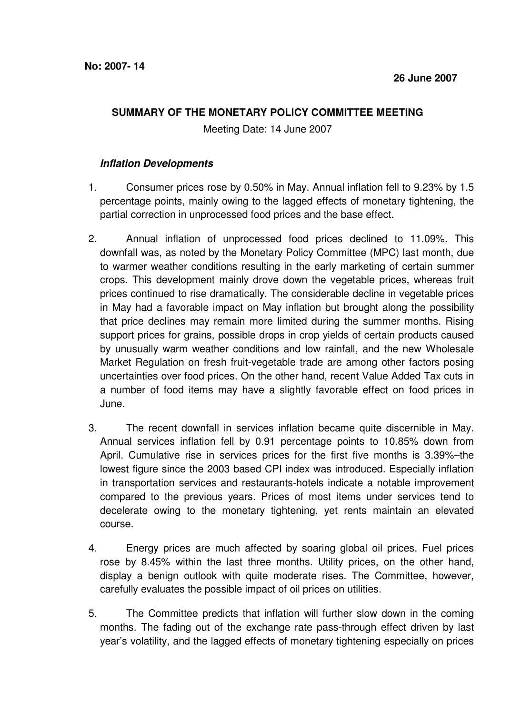## **SUMMARY OF THE MONETARY POLICY COMMITTEE MEETING**

Meeting Date: 14 June 2007

## **Inflation Developments**

- 1. Consumer prices rose by 0.50% in May. Annual inflation fell to 9.23% by 1.5 percentage points, mainly owing to the lagged effects of monetary tightening, the partial correction in unprocessed food prices and the base effect.
- 2. Annual inflation of unprocessed food prices declined to 11.09%. This downfall was, as noted by the Monetary Policy Committee (MPC) last month, due to warmer weather conditions resulting in the early marketing of certain summer crops. This development mainly drove down the vegetable prices, whereas fruit prices continued to rise dramatically. The considerable decline in vegetable prices in May had a favorable impact on May inflation but brought along the possibility that price declines may remain more limited during the summer months. Rising support prices for grains, possible drops in crop yields of certain products caused by unusually warm weather conditions and low rainfall, and the new Wholesale Market Regulation on fresh fruit-vegetable trade are among other factors posing uncertainties over food prices. On the other hand, recent Value Added Tax cuts in a number of food items may have a slightly favorable effect on food prices in June.
- 3. The recent downfall in services inflation became quite discernible in May. Annual services inflation fell by 0.91 percentage points to 10.85% down from April. Cumulative rise in services prices for the first five months is 3.39%–the lowest figure since the 2003 based CPI index was introduced. Especially inflation in transportation services and restaurants-hotels indicate a notable improvement compared to the previous years. Prices of most items under services tend to decelerate owing to the monetary tightening, yet rents maintain an elevated course.
- 4. Energy prices are much affected by soaring global oil prices. Fuel prices rose by 8.45% within the last three months. Utility prices, on the other hand, display a benign outlook with quite moderate rises. The Committee, however, carefully evaluates the possible impact of oil prices on utilities.
- 5. The Committee predicts that inflation will further slow down in the coming months. The fading out of the exchange rate pass-through effect driven by last year's volatility, and the lagged effects of monetary tightening especially on prices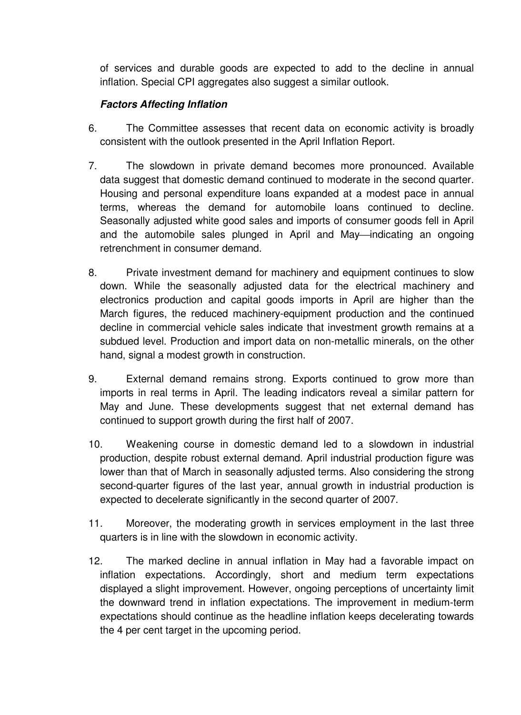of services and durable goods are expected to add to the decline in annual inflation. Special CPI aggregates also suggest a similar outlook.

## **Factors Affecting Inflation**

- 6. The Committee assesses that recent data on economic activity is broadly consistent with the outlook presented in the April Inflation Report.
- 7. The slowdown in private demand becomes more pronounced. Available data suggest that domestic demand continued to moderate in the second quarter. Housing and personal expenditure loans expanded at a modest pace in annual terms, whereas the demand for automobile loans continued to decline. Seasonally adjusted white good sales and imports of consumer goods fell in April and the automobile sales plunged in April and May—indicating an ongoing retrenchment in consumer demand.
- 8. Private investment demand for machinery and equipment continues to slow down. While the seasonally adjusted data for the electrical machinery and electronics production and capital goods imports in April are higher than the March figures, the reduced machinery-equipment production and the continued decline in commercial vehicle sales indicate that investment growth remains at a subdued level. Production and import data on non-metallic minerals, on the other hand, signal a modest growth in construction.
- 9. External demand remains strong. Exports continued to grow more than imports in real terms in April. The leading indicators reveal a similar pattern for May and June. These developments suggest that net external demand has continued to support growth during the first half of 2007.
- 10. Weakening course in domestic demand led to a slowdown in industrial production, despite robust external demand. April industrial production figure was lower than that of March in seasonally adjusted terms. Also considering the strong second-quarter figures of the last year, annual growth in industrial production is expected to decelerate significantly in the second quarter of 2007.
- 11. Moreover, the moderating growth in services employment in the last three quarters is in line with the slowdown in economic activity.
- 12. The marked decline in annual inflation in May had a favorable impact on inflation expectations. Accordingly, short and medium term expectations displayed a slight improvement. However, ongoing perceptions of uncertainty limit the downward trend in inflation expectations. The improvement in medium-term expectations should continue as the headline inflation keeps decelerating towards the 4 per cent target in the upcoming period.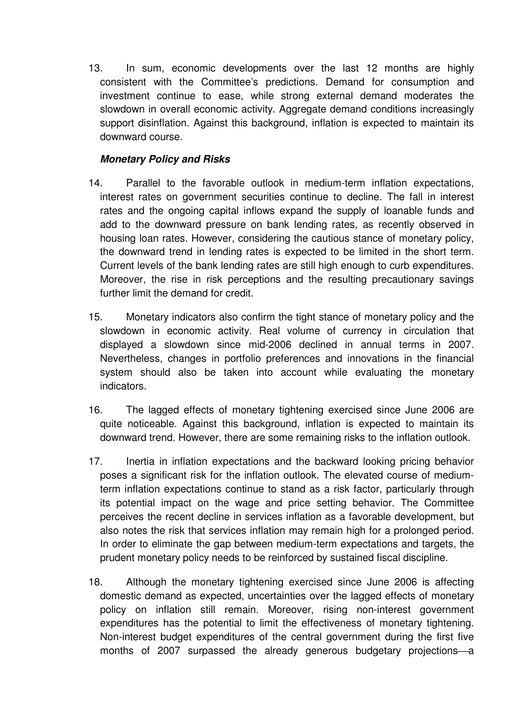13. In sum, economic developments over the last 12 months are highly consistent with the Committee's predictions. Demand for consumption and investment continue to ease, while strong external demand moderates the slowdown in overall economic activity. Aggregate demand conditions increasingly support disinflation. Against this background, inflation is expected to maintain its downward course.

## **Monetary Policy and Risks**

- 14. Parallel to the favorable outlook in medium-term inflation expectations, interest rates on government securities continue to decline. The fall in interest rates and the ongoing capital inflows expand the supply of loanable funds and add to the downward pressure on bank lending rates, as recently observed in housing loan rates. However, considering the cautious stance of monetary policy, the downward trend in lending rates is expected to be limited in the short term. Current levels of the bank lending rates are still high enough to curb expenditures. Moreover, the rise in risk perceptions and the resulting precautionary savings further limit the demand for credit.
- 15. Monetary indicators also confirm the tight stance of monetary policy and the slowdown in economic activity. Real volume of currency in circulation that displayed a slowdown since mid-2006 declined in annual terms in 2007. Nevertheless, changes in portfolio preferences and innovations in the financial system should also be taken into account while evaluating the monetary indicators.
- 16. The lagged effects of monetary tightening exercised since June 2006 are quite noticeable. Against this background, inflation is expected to maintain its downward trend. However, there are some remaining risks to the inflation outlook.
- 17. Inertia in inflation expectations and the backward looking pricing behavior poses a significant risk for the inflation outlook. The elevated course of mediumterm inflation expectations continue to stand as a risk factor, particularly through its potential impact on the wage and price setting behavior. The Committee perceives the recent decline in services inflation as a favorable development, but also notes the risk that services inflation may remain high for a prolonged period. In order to eliminate the gap between medium-term expectations and targets, the prudent monetary policy needs to be reinforced by sustained fiscal discipline.
- 18. Although the monetary tightening exercised since June 2006 is affecting domestic demand as expected, uncertainties over the lagged effects of monetary policy on inflation still remain. Moreover, rising non-interest government expenditures has the potential to limit the effectiveness of monetary tightening. Non-interest budget expenditures of the central government during the first five months of 2007 surpassed the already generous budgetary projections—a